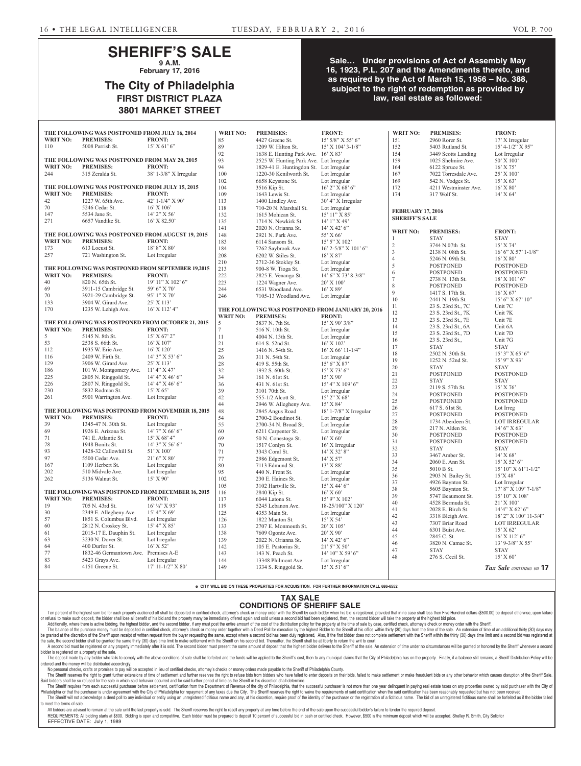# **SHERIFF'S SALE 9 A.M.**

**February 17, 2016**

# **The City of Philadelphia FIRST DISTRICT PLAZA 3801 MARKET STREET**

# **Sale… Under provisions of Act of Assembly May 16, 1923, P.L. 207 and the Amendments thereto, and as required by the Act of March 15, 1956 – No. 388, subject to the right of redemption as provided by law, real estate as followed:**

|                                                                                                            | THE FOLLOWING WAS POSTPONED FROM JULY 16, 2014     |                                                    | <b>WRIT NO:</b>  | <b>PREMISES:</b>                                  | <b>FRONT:</b>                  | <b>WRIT NO:</b>          | <b>PREMISES:</b>      | <b>FRONT:</b>             |
|------------------------------------------------------------------------------------------------------------|----------------------------------------------------|----------------------------------------------------|------------------|---------------------------------------------------|--------------------------------|--------------------------|-----------------------|---------------------------|
| <b>WRIT NO:</b>                                                                                            | <b>PREMISES:</b>                                   | <b>FRONT:</b>                                      | 85               | 4427 Greene St.                                   | 15' 5/8" X 55' 6"              | 151                      | 2960 Rorer St.        | 17' X Irregular           |
| 110                                                                                                        | 5008 Parrish St.                                   | $15'$ X 61' 6"                                     | 89               | 1209 W. Hilton St.                                | 15' X 104' 3-1/8"              | 152                      | 5403 Rutland St.      | $15' 4 - 1/2'' X 95''$    |
|                                                                                                            |                                                    |                                                    | 92               | 1638 E. Hunting Park Ave. 16' X 83'               |                                | 154                      | 3449 Scotts Landing   | Lot Irregular             |
|                                                                                                            | THE FOLLOWING WAS POSTPONED FROM MAY 20, 2015      |                                                    | 93               | 2525 W. Hunting Park Ave. Lot Irregular           |                                | 159                      | 1025 Shelmire Ave.    | 50' X 100'                |
| <b>WRIT NO:</b>                                                                                            | <b>PREMISES:</b>                                   | <b>FRONT:</b>                                      | 94               | 1829-41 E. Huntingdon St. Lot Irregular           |                                | 164                      | 6122 Spruce St.       | $16'$ X 75'               |
| 244                                                                                                        | 315 Zeralda St.                                    | 38' 1-3/8" X Irregular                             | 100              | 1220-30 Kenilworth St.                            | Lot Irregular                  | 167                      | 7022 Torresdale Ave.  | 25' X 100'                |
|                                                                                                            |                                                    |                                                    | 102              | 6658 Keystone St.                                 | Lot Irregular                  | 169                      | 542 N. Vodges St.     | 15' X 63'                 |
|                                                                                                            | THE FOLLOWING WAS POSTPONED FROM JULY 15, 2015     |                                                    | 104              | 3516 Kip St.                                      | $16'$ 2" X 68' 6"              | 172                      | 4211 Westminster Ave. | $16'$ X $80'$             |
| <b>WRIT NO:</b>                                                                                            | <b>PREMISES:</b>                                   | <b>FRONT:</b>                                      | 109              | 1643 Lewis St.                                    | Lot Irregular                  | 174                      | 317 Wolf St.          | $14'$ X 64'               |
| 42                                                                                                         | 1227 W. 65th Ave.                                  | 42' 1-1/4" X 90'                                   | 113              | 1400 Lindley Ave.                                 | 30' 4" X Irregular             |                          |                       |                           |
| 70                                                                                                         | 5246 Cedar St.                                     | $16'$ X $106'$                                     | 118              | 710-20 N. Marshall St.                            | Lot Irregular                  | <b>FEBRUARY 17, 2016</b> |                       |                           |
| 147                                                                                                        | 5534 Jane St.                                      | $14'$ 2" X 56'                                     | 132              | 1615 Mohican St.                                  | 15' 11'' X 85'                 | <b>SHERIFF'S SALE</b>    |                       |                           |
| 271                                                                                                        | 6657 Vandike St.                                   | 16' X 82.50'                                       | 135              | 1714 N. Newkirk St.                               | 14' 1" X 49'                   |                          |                       |                           |
|                                                                                                            |                                                    |                                                    | 141              | 2020 N. Orianna St.                               | $14'$ X 42' 6"                 | <b>WRIT NO:</b>          | <b>PREMISES:</b>      | <b>FRONT:</b>             |
|                                                                                                            | THE FOLLOWING WAS POSTPONED FROM AUGUST 19, 2015   |                                                    | 148              | 2921 N. Park Ave.                                 | 55' X 66'                      |                          | <b>STAY</b>           | <b>STAY</b>               |
| <b>WRIT NO:</b>                                                                                            | <b>PREMISES:</b>                                   | <b>FRONT:</b>                                      | 183              | 6114 Sansom St.                                   | 15' 5" X 102'                  | $\sqrt{2}$               | 3744 N.07th St.       | $15'$ X 74'               |
| 173                                                                                                        | 613 Locust St.                                     | 18' 8" X 80'                                       | 184              | 7262 Saybrook Ave.                                | 16' 2-5/8" X 101' 6"           | $\mathfrak{Z}$           | 2138 N. 08th St.      | 16' 6" X 57' 1-1/8"       |
| 257                                                                                                        | 721 Washington St.                                 | Lot Irregular                                      | 208              | 6202 W. Stiles St.                                | $18'$ X $87'$                  | $\overline{4}$           | 5246 N. 09th St.      | $16'$ X $80'$             |
|                                                                                                            |                                                    |                                                    | 210              | 2712-36 Stokley St.                               | Lot Irregular                  | $\sqrt{5}$               | <b>POSTPONED</b>      | <b>POSTPONED</b>          |
|                                                                                                            |                                                    | THE FOLLOWING WAS POSTPONED FROM SEPTEMBER 19,2015 | 213              | 900-8 W. Tioga St.                                | Lot Irregular                  | 6                        | <b>POSTPONED</b>      | <b>POSTPONED</b>          |
| <b>WRIT NO:</b>                                                                                            | <b>PREMISES:</b>                                   | <b>FRONT:</b>                                      | 222              | 2825 E. Venango St.                               | 14' 6" X 73' 8-3/8"            | $\overline{7}$           | 2738 N. 13th St.      | 18' X 101' 6"             |
| 40                                                                                                         | 820 N. 65th St.                                    | $19'$ $11''$ X $102'$ 6"                           | 223              | 1224 Wagner Ave.                                  | $20'$ X $100'$                 | 8                        | <b>POSTPONED</b>      | <b>POSTPONED</b>          |
| 69                                                                                                         | 3911-15 Cambridge St.                              | 59' 6" X 70'                                       | 244              | 6531 Woodland Ave.                                | $16'$ X 89'                    | 9                        | 1417 S. 17th St.      | $16'$ X 67'               |
| 70                                                                                                         | 3921-29 Cambridge St.                              | 95' 1" X 70'                                       | 246              | 7105-13 Woodland Ave.                             | Lot Irregular                  | 10                       | 2441 N. 19th St.      | $15'$ 6" X 67' 10"        |
| 133                                                                                                        | 3904 W. Girard Ave.                                | 25' X 113'                                         |                  |                                                   |                                | 11                       | 23 S. 23rd St., 7C    | Unit 7C                   |
| 170                                                                                                        | 1235 W. Lehigh Ave.                                | $16'$ X $112'$ 4"                                  |                  | THE FOLLOWING WAS POSTPONED FROM JANUARY 20, 2016 |                                | $12\,$                   | 23 S. 23rd St., 7K    | Unit 7K                   |
|                                                                                                            |                                                    |                                                    | <b>WRIT NO:</b>  | <b>PREMISES:</b>                                  | <b>FRONT:</b>                  | 13                       | 23 S. 23rd St., 7E    | Unit 7E                   |
|                                                                                                            | THE FOLLOWING WAS POSTPONED FROM OCTOBER 21, 2015  |                                                    | 5                | 3837 N. 7th St.                                   | $15'$ X 90' 3/8"               | 14                       | 23 S. 23rd St., 6A    | Unit 6A                   |
| <b>WRIT NO:</b>                                                                                            | <b>PREMISES:</b>                                   | <b>FRONT:</b>                                      | $\boldsymbol{7}$ | 516 N. 10th St.                                   | Lot Irregular                  | 15                       | 23 S. 23rd St., 7D    | Unit 7D                   |
| 5                                                                                                          | 5145 N. 8th St.                                    | $15'$ X 67' 2"                                     | 11               | 4004 N. 13th St.                                  | Lot Irregular                  | 16                       | 23 S. 23rd St.,       | Unit 7G                   |
| 53                                                                                                         | 2538 S. 66th St.                                   | $16'$ X $107'$                                     | 21               | 614 S. 52nd St.                                   | $16'$ X $102'$                 | 17                       | <b>STAY</b>           | <b>STAY</b>               |
| 112                                                                                                        | 1935 W. Erie Ave.                                  | $16'$ X $120'$                                     | 25               | 1416 N. 54th St.                                  | $16'$ X 66' 11-1/4"            | 18                       | 2502 N. 30th St.      | 15' 3" X 65' 6"           |
| 116                                                                                                        | 2409 W. Firth St.                                  | 14' 3" X 53' 6"                                    | 26               | 311 N. 54th St.                                   | Lot Irregular                  | 19                       | 1252 N. 52nd St.      | 15' 9" X 93'              |
| 129                                                                                                        | 3906 W. Girard Ave.                                | 25' X 113'                                         | $28\,$           | 419 S. 55th St.                                   | $15'6''$ X 87'                 | $20\,$                   | <b>STAY</b>           | <b>STAY</b>               |
| 186                                                                                                        | 101 W. Montgomery Ave.                             | $11'$ 4" X 47"                                     | 32               | 1932 S. 60th St.                                  | $15'$ X 73' 6"                 | $2\sqrt{1}$              | <b>POSTPONED</b>      | <b>POSTPONED</b>          |
| 225                                                                                                        | 2805 N. Ringgold St.                               | 14' 4'' X 46' 6''                                  | 34               | 161 N. 61st St.                                   | $15'$ X 90'                    | $22\,$                   | <b>STAY</b>           | <b>STAY</b>               |
| 226                                                                                                        | 2807 N. Ringgold St.                               | 14' 4'' X 46' 6''                                  | 36               | 431 N. 61st St.                                   | $15'$ 4" X $109'$ 6"           | $23\,$                   | 2119 S. 57th St.      | $15'$ X 76'               |
| 230                                                                                                        | 5832 Rodman St.                                    | 15' X 65'                                          | 39               | 3101 70th St.                                     | Lot Irregular                  | 24                       | <b>POSTPONED</b>      | <b>POSTPONED</b>          |
| 261                                                                                                        | 5901 Warrington Ave.                               | Lot Irregular                                      | 42               | 555-1/2 Alcott St.                                | 15' 2" X 68'                   | $25\,$                   | <b>POSTPONED</b>      | <b>POSTPONED</b>          |
|                                                                                                            |                                                    |                                                    | 44               | 2946 W. Allegheny Ave.                            | $15'$ X 84'                    | $26\,$                   | 617 S. 61st St.       | Lot Irreg                 |
|                                                                                                            | THE FOLLOWING WAS POSTPONED FROM NOVEMBER 18, 2015 |                                                    | 48               | 2845 Angus Road                                   | 18' 1-7/8" X Irregular         | $27\,$                   | <b>POSTPONED</b>      | <b>POSTPONED</b>          |
| <b>WRIT NO:</b>                                                                                            | <b>PREMISES:</b>                                   | <b>FRONT:</b>                                      | 54               | 2700-2 Boudinot St.                               | Lot Irregular                  | $28\,$                   | 1734 Aberdeen St.     | <b>LOT IRREGULAR</b>      |
| 39                                                                                                         | 1345-47 N. 30th St.                                | Lot Irregular                                      | 55               | 2700-34 N. Broad St.                              | Lot Irregular                  | 29                       | 217 N. Alden St.      | $14'6''$ X 63'            |
| 69                                                                                                         | 1926 E. Arizona St.                                | 14' 7" X 66' 6"                                    | 60               | 6211 Carpenter St.                                | Lot Irregular                  | 30                       | <b>POSTPONED</b>      | <b>POSTPONED</b>          |
| 71                                                                                                         | 741 E. Atlantic St.                                | 15' X 68' 4"                                       | 69               | 50 N. Conestoga St.                               | $16'$ X 60'                    | 31                       | <b>POSTPONED</b>      | POSTPONED                 |
| 78                                                                                                         | 1948 Bonitz St.<br>1428-32 Callowhill St.          | 14' 3" X 56' 6"<br>51' X 100'                      | 70               | 1517 Conlyn St.                                   | 16' X Irregular                | $32\,$                   | <b>STAY</b>           | <b>STAY</b>               |
| 93                                                                                                         |                                                    |                                                    | 71               | 3343 Coral St.                                    | 14' X 32' 8"                   | 33                       | 3467 Amber St.        | 14' X 68'                 |
| 97                                                                                                         | 5500 Cedar Ave.                                    | $21'$ 6" X 80"                                     | $77\,$           | 2986 Edgemont St.                                 | $14'$ X 57'                    | 34                       | 2060 E. Ann St.       | 15' X 52' 6"              |
| 167<br>202                                                                                                 | 1109 Herbert St.                                   | Lot Irregular                                      | 80               | 7113 Edmund St.                                   | 13' X 88'                      | 35                       | 5010 B St.            | 15' 10" X 61'1-1/2"       |
|                                                                                                            | 510 Midvale Ave.<br>5136 Walnut St.                | Lot Irregular<br>15' X 90'                         | 95               | 440 N. Front St.                                  | Lot Irregular                  | 36                       | 2903 N. Bailey St.    | 15'X 48'                  |
| 262                                                                                                        |                                                    |                                                    | 102              | 230 E. Haines St.                                 | Lot Irregular                  | $37\,$                   | 4926 Baynton St.      | Lot Irregular             |
|                                                                                                            |                                                    |                                                    | 105              | 3102 Hartville St.                                | $15'$ X 44' 6"                 | $38\,$                   | 5605 Baynton St.      | 17' 8" X 109' 7-1/8"      |
| THE FOLLOWING WAS POSTPONED FROM DECEMBER 16, 2015<br><b>WRIT NO:</b><br><b>PREMISES:</b><br><b>FRONT:</b> |                                                    |                                                    | 116              | 2840 Kip St.                                      | $16'$ X 60'                    | 39                       | 5747 Beaumont St.     | 15' 10'' X 108'           |
|                                                                                                            |                                                    |                                                    | 117              | 6044 Latona St.                                   | 15' 9" X 102'                  | $40\,$                   | 4528 Bermuda St.      | $21'$ X $100'$            |
| 19<br>30                                                                                                   | 705 N. 43rd St.                                    | $16'$ 1/4" X 93'<br>15' 4" X 69'                   | 119              | 5245 Lebanon Ave.                                 | $18-25/100$ " X 120'           | 41                       | 2028 E. Birch St.     | $14'4''$ X 62' 6"         |
| 57                                                                                                         | 2349 E. Allegheny Ave.<br>1851 S. Columbus Blvd.   |                                                    | 125              | 4353 Main St.<br>1822 Manton St.                  | Lot Irregular                  | $42\,$                   | 3318 Bleigh Ave.      | $18'$ 2" X $100'$ 11-3/4" |
| 60                                                                                                         | 2812 N. Croskey St.                                | Lot Irregular<br>15' 4'' X 85'                     | 126              |                                                   | $15'$ X 54'                    | 43                       | 7307 Briar Road       | LOT IRREGULAR             |
| 61                                                                                                         | 2015-17 E. Dauphin St.                             | Lot Irregular                                      | 133<br>138       | 2707 E. Monmouth St.                              | 20' X 105'<br>20' X 90'        | 44                       | 6301 Buist Ave.       | 15' X 62'                 |
| 63                                                                                                         | 3230 N. Dover St.                                  | Lot Irregular                                      | 139              | 7609 Ogontz Ave.<br>2022 N. Orianna St.           |                                | 45                       | 2845 C. St.           | 16' X 112' 6"             |
| 64                                                                                                         | 400 Durfor St.                                     | 16' X 52'                                          | 142              | 105 E. Pastorius St.                              | $14'$ X 42' 6"<br>21' 5" X 50' | 46                       | 3820 N. Camac St.     | 13' 9-3/8" X 55'          |
| 77                                                                                                         | 1832-46 Germantown Ave. Premises A-E               |                                                    | 143              | 143 N. Peach St.                                  | 14' 10" X 59' 6"               | 47                       | <b>STAY</b>           | <b>STAY</b>               |
| 83                                                                                                         | 5423 Grays Ave.                                    | Lot Irregular                                      | 144              | 13348 Philmont Ave.                               | Lot Irregular                  | 48                       | 276 S. Cecil St.      | 15' X 60'                 |
| 84                                                                                                         | 4151 Greene St.                                    | 17' 11-1/2" X 80'                                  | 149              | 1334 S. Ringgold St.                              | $15'$ X 51' 6"                 |                          |                       |                           |
|                                                                                                            |                                                    |                                                    |                  |                                                   |                                |                          |                       | Tax Sale continues on 17  |
|                                                                                                            |                                                    |                                                    |                  |                                                   |                                |                          |                       |                           |

**e CITY WILL BID ON THESE PROPERTIES FOR ACQUISITION. FOR FURTHER INFORMATION CALL 686-6552**

#### **TAX SALE CONDITIONS OF SHERIFF SALE**

Ten percent of the highest sum bid for each property auctioned off shall be deposited in certified check, attorney's check or money order with the Sheriff by each bidder when his bid is registered, provided that in no case or retusal to make such deposit, the bidder shall lose all benetit of his bid and the property many be immediately offered again and sold unless a second bid had been registered, then, the second bidder will take the prope Additionally, where there is active bidding, the highest bidder, and the second bidder, if any must post the entire amount of the cost of the distribution policy for the property at the time of sale by case, certified chec

The balance of the purchase money must be deposited in certified check, attorney's check or money order together with a Deed Poll for execution by the highest Bidder to the Sheriff at his office within thirty (30) days fro be granted at the discretion of the Sheriff upon receipt of written request from the buyer requesting the same, except where a second bid has been duly registered, Also, if the first bidder does not complete settlement wit the sale, the second bidder shall be granted the same thirty (30) days time limit to make settlement with the Sheriff on his second bid. Thereafter, the Sheriff shall be at liberty to return the writ to court

A second bid must be registered on any property immediately after it is sold. The second bidder must present the same amount of deposit that the highest bidder delivers to the Sheriff at the sale. An extension of time unde bidder is registered on a property at the sale.

The deposit made by any bidder who fails to comply with the above conditions of sale shall be forfeited and the funds will be applied to the Sheriff's cost, then to any municipal claims that the City of Philadelphia has on dered and the money will be distributed accordingly.

No personal checks, dratts or promises to pay will be accepted in lieu of certified checks, attorney's checks or money orders made payable to the Sheriff of Philadelphia County.<br>The Sheriff reserves the right to grant funt

Said bidders shall be so refused for the sale in which said behavior occurred and for said further period of time as the Sheriff in his discretion shall determine.

The Sheriff requires from each successful purchaser before settlement, certification from the Department of Revenue of the city of Philadelphia, that the successful purchaser is not more than one year delinquent in paying Philadelphia or that the purchaser is under agreement with the City of Philadelphia for repayment of any taxes due the City. The Sheriff reserves the right to waive the requirements of said certification when the said cert The Sheriff will not acknowledge a deed poll to any individual or entity using an unregistered fictitious name and any, at his discretion, require proof of the identity of the purchaser or the registration of a fictitious to meet the terms of sale.

All bidders are advised to remain at the sale until the last property is sold. The Sheriff reserves the right to resell any property at any time before the end of the sale upon the successful bidder's failure to tender the REQUIREMENTS: All bidding starts at \$800. Bidding is open and competitive. Each bidder must be prepared to deposit 10 percent of successful bid in cash or certified check. However, \$500 is the minimum deposit which will be EFFECTIVE DATE: July 1, 1989